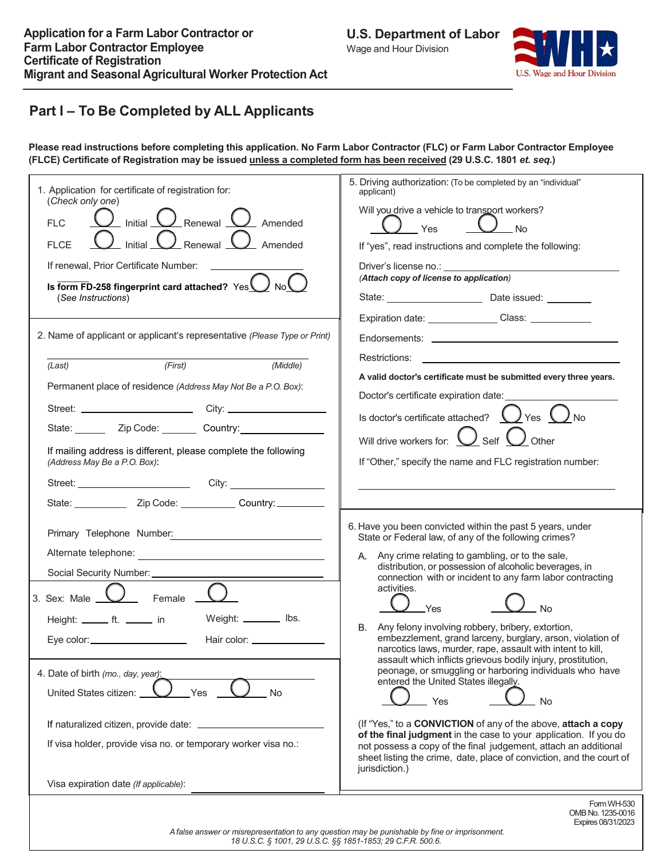

# **Part I – To Be Completed by ALL Applicants**

Please read instructions before completing this application. No Farm Labor Contractor (FLC) or Farm Labor Contractor Employee (FLCE) Certificate of Registration may be issued unless a completed form has been received (29 U.S.C. 1801 et. seq.)

| 1. Application for certificate of registration for:<br>(Check only one)<br>$\overline{\mathcal{L}}$ Initial $\overline{\mathcal{L}}$ Renewal $\overline{\mathcal{L}}$ Amended<br><b>FLC</b><br>$\_$ Initial $\bigcup$ Renewal $\bigcup$ Amended<br><b>FLCE</b><br>If renewal, Prior Certificate Number:<br>Is form FD-258 fingerprint card attached? Yes No<br>(See Instructions)                                                               | 5. Driving authorization: (To be completed by an "individual"<br>applicant)<br>Will you drive a vehicle to transport workers?<br>) <sub>Yes</sub><br>$J_{\rm \_NO}$<br>If "yes", read instructions and complete the following:<br>Driver's license no.: The contract of the contract of the contract of the contract of the contract of the contract of the contract of the contract of the contract of the contract of the contract of the contract of the cont<br>(Attach copy of license to application)                                                                                                                                                                                                                                                                                                                                                                                                                                                                                               |
|-------------------------------------------------------------------------------------------------------------------------------------------------------------------------------------------------------------------------------------------------------------------------------------------------------------------------------------------------------------------------------------------------------------------------------------------------|-----------------------------------------------------------------------------------------------------------------------------------------------------------------------------------------------------------------------------------------------------------------------------------------------------------------------------------------------------------------------------------------------------------------------------------------------------------------------------------------------------------------------------------------------------------------------------------------------------------------------------------------------------------------------------------------------------------------------------------------------------------------------------------------------------------------------------------------------------------------------------------------------------------------------------------------------------------------------------------------------------------|
| 2. Name of applicant or applicant's representative (Please Type or Print)<br>(First)<br>(Middle)<br>(Last)<br>Permanent place of residence (Address May Not Be a P.O. Box):<br>State: ________ Zip Code: ________ Country: __________________<br>If mailing address is different, please complete the following<br>(Address May Be a P.O. Box):<br>Street: City: City:<br>State: ________________ Zip Code: ______________ Country: ___________ | Expiration date: Class: ________________ Class: ________________________________<br>Restrictions:<br>A valid doctor's certificate must be submitted every three years.<br>Doctor's certificate expiration date:<br>Is doctor's certificate attached? $\bigcup$ Yes $\bigcup$ No<br>Will drive workers for: $\bigcup$ Self $\bigcup$ Other<br>If "Other," specify the name and FLC registration number:                                                                                                                                                                                                                                                                                                                                                                                                                                                                                                                                                                                                    |
| 3. Sex: Male $\overline{\bigcup}$ Female $\overline{\phantom{a}}$<br>Weight: ________ lbs.<br>Height: _______ ft. _______ in<br>Eye color: ___________________<br>Hair color: _______________<br>4. Date of birth (mo., day, year):<br>Yes<br><b>No</b><br>United States citizen:<br>If naturalized citizen, provide date:<br>If visa holder, provide visa no. or temporary worker visa no.:<br>Visa expiration date (If applicable):           | 6. Have you been convicted within the past 5 years, under<br>State or Federal law, of any of the following crimes?<br>A. Any crime relating to gambling, or to the sale,<br>distribution, or possession of alcoholic beverages, in<br>connection with or incident to any farm labor contracting<br>activities.<br>Yes<br>No.<br>B. Any felony involving robbery, bribery, extortion,<br>embezzlement, grand larceny, burglary, arson, violation of<br>narcotics laws, murder, rape, assault with intent to kill,<br>assault which inflicts grievous bodily injury, prostitution,<br>peonage, or smuggling or harboring individuals who have<br>entered the United States illegally.<br>Yes<br><b>No</b><br>(If "Yes," to a CONVICTION of any of the above, attach a copy<br>of the final judgment in the case to your application. If you do<br>not possess a copy of the final judgement, attach an additional<br>sheet listing the crime, date, place of conviction, and the court of<br>jurisdiction.) |
|                                                                                                                                                                                                                                                                                                                                                                                                                                                 | Form WH-530<br>OMB No. 1235-0016                                                                                                                                                                                                                                                                                                                                                                                                                                                                                                                                                                                                                                                                                                                                                                                                                                                                                                                                                                          |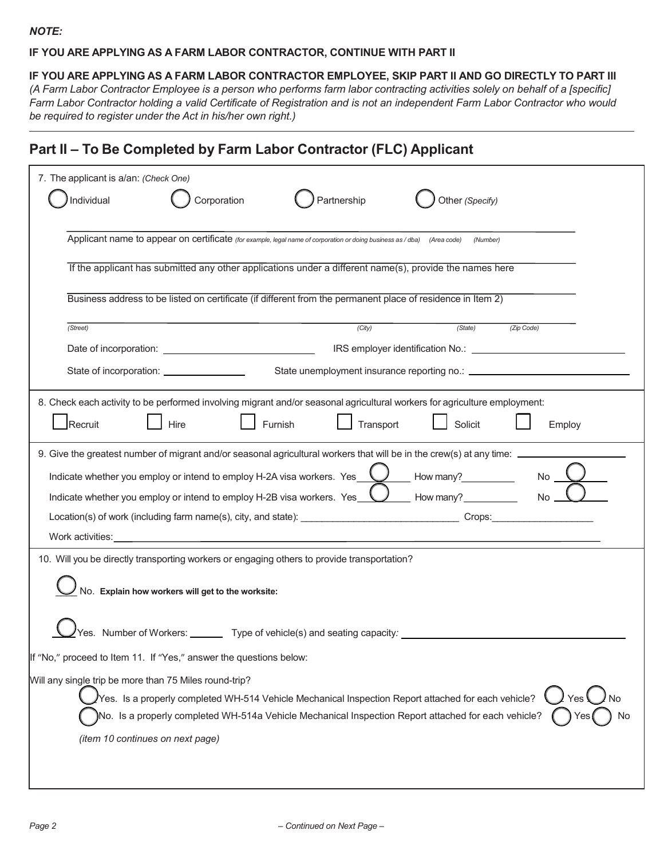#### **IF YOU ARE APPLYING AS A FARM LABOR CONTRACTOR, CONTINUE WITH PART II**

#### **IF YOU ARE APPLYING AS A FARM LABOR CONTRACTOR EMPLOYEE, SKIP PART II AND GO DIRECTLY TO PART III**

(A Farm Labor Contractor Employee is a person who performs farm labor contracting activities solely on behalf of a [specific] Farm Labor Contractor holding a valid Certificate of Registration and is not an independent Farm Labor Contractor who would *be required to register under the Act in his/her own right.)*

## **Part II – To Be Completed by Farm Labor Contractor (FLC) Applicant**

| 7. The applicant is a/an: (Check One)                                                                                               |  |  |  |
|-------------------------------------------------------------------------------------------------------------------------------------|--|--|--|
| Individual<br>Corporation<br>Partnership<br>Other (Specify)                                                                         |  |  |  |
|                                                                                                                                     |  |  |  |
| Applicant name to appear on certificate (for example, legal name of corporation or doing business as / dba) (Area code)<br>(Number) |  |  |  |
| If the applicant has submitted any other applications under a different name(s), provide the names here                             |  |  |  |
|                                                                                                                                     |  |  |  |
| Business address to be listed on certificate (if different from the permanent place of residence in Item 2)                         |  |  |  |
| (City)<br>(State)<br>(Zip Code)<br>(Street)                                                                                         |  |  |  |
|                                                                                                                                     |  |  |  |
| State of incorporation: _________________                                                                                           |  |  |  |
| 8. Check each activity to be performed involving migrant and/or seasonal agricultural workers for agriculture employment:           |  |  |  |
| Recruit<br>Transport<br>Solicit<br>Hire<br>Furnish<br>Employ                                                                        |  |  |  |
|                                                                                                                                     |  |  |  |
| 9. Give the greatest number of migrant and/or seasonal agricultural workers that will be in the crew(s) at any time:                |  |  |  |
| <b>No</b><br>Indicate whether you employ or intend to employ H-2A visa workers. Yes $\sqrt{ }$<br>How many?                         |  |  |  |
| Indicate whether you employ or intend to employ H-2B visa workers. Yes $\bigcup$ How many?<br>$No_$                                 |  |  |  |
|                                                                                                                                     |  |  |  |
|                                                                                                                                     |  |  |  |
| 10. Will you be directly transporting workers or engaging others to provide transportation?                                         |  |  |  |
| No. Explain how workers will get to the worksite:                                                                                   |  |  |  |
|                                                                                                                                     |  |  |  |
| es. Number of Workers: ________ Type of vehicle(s) and seating capacity: ________                                                   |  |  |  |
| If "No," proceed to Item 11. If "Yes," answer the questions below:                                                                  |  |  |  |
| Will any single trip be more than 75 Miles round-trip?                                                                              |  |  |  |
| Yes. Is a properly completed WH-514 Vehicle Mechanical Inspection Report attached for each vehicle?<br>Yes                          |  |  |  |
| No. Is a properly completed WH-514a Vehicle Mechanical Inspection Report attached for each vehicle?                                 |  |  |  |
| (item 10 continues on next page)                                                                                                    |  |  |  |
|                                                                                                                                     |  |  |  |
|                                                                                                                                     |  |  |  |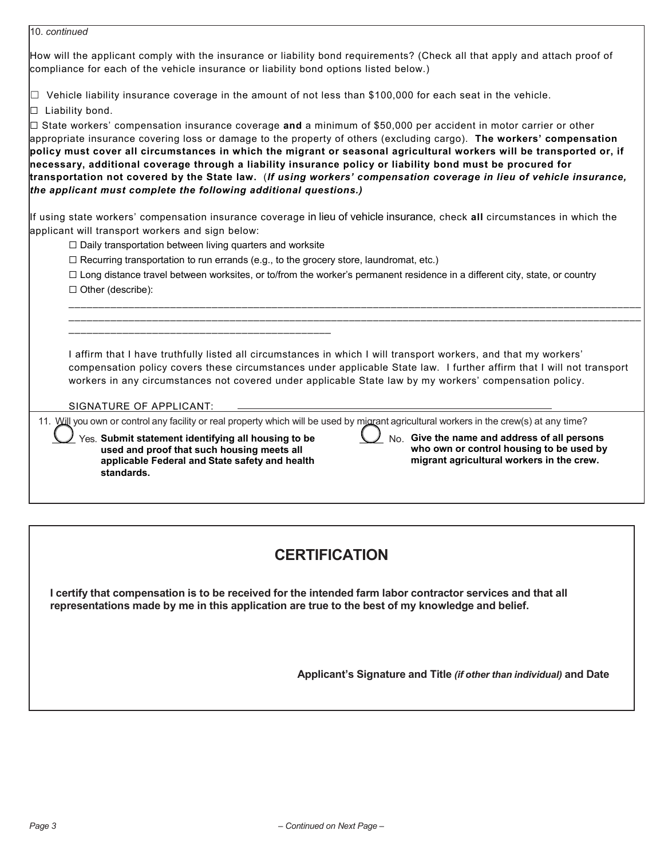| 10. continued                                                                                                                                                                                                                                                                                                                                                                                                                                                                                                                                                                                                                                                                   |  |  |
|---------------------------------------------------------------------------------------------------------------------------------------------------------------------------------------------------------------------------------------------------------------------------------------------------------------------------------------------------------------------------------------------------------------------------------------------------------------------------------------------------------------------------------------------------------------------------------------------------------------------------------------------------------------------------------|--|--|
| How will the applicant comply with the insurance or liability bond requirements? (Check all that apply and attach proof of<br>compliance for each of the vehicle insurance or liability bond options listed below.)                                                                                                                                                                                                                                                                                                                                                                                                                                                             |  |  |
| $\Box$ Vehicle liability insurance coverage in the amount of not less than \$100,000 for each seat in the vehicle.<br>$\Box$ Liability bond.                                                                                                                                                                                                                                                                                                                                                                                                                                                                                                                                    |  |  |
| $\Box$ State workers' compensation insurance coverage and a minimum of \$50,000 per accident in motor carrier or other<br>appropriate insurance covering loss or damage to the property of others (excluding cargo). The workers' compensation<br>policy must cover all circumstances in which the migrant or seasonal agricultural workers will be transported or, if<br>necessary, additional coverage through a liability insurance policy or liability bond must be procured for<br>transportation not covered by the State law. (If using workers' compensation coverage in lieu of vehicle insurance,<br>the applicant must complete the following additional questions.) |  |  |
| If using state workers' compensation insurance coverage in lieu of vehicle insurance, check all circumstances in which the<br>applicant will transport workers and sign below:                                                                                                                                                                                                                                                                                                                                                                                                                                                                                                  |  |  |
| $\Box$ Daily transportation between living quarters and worksite                                                                                                                                                                                                                                                                                                                                                                                                                                                                                                                                                                                                                |  |  |
| $\Box$ Recurring transportation to run errands (e.g., to the grocery store, laundromat, etc.)                                                                                                                                                                                                                                                                                                                                                                                                                                                                                                                                                                                   |  |  |
| □ Long distance travel between worksites, or to/from the worker's permanent residence in a different city, state, or country<br>$\Box$ Other (describe):                                                                                                                                                                                                                                                                                                                                                                                                                                                                                                                        |  |  |
| I affirm that I have truthfully listed all circumstances in which I will transport workers, and that my workers'<br>compensation policy covers these circumstances under applicable State law. I further affirm that I will not transport<br>workers in any circumstances not covered under applicable State law by my workers' compensation policy.<br>SIGNATURE OF APPLICANT:                                                                                                                                                                                                                                                                                                 |  |  |
| 11. Will you own or control any facility or real property which will be used by migrant agricultural workers in the crew(s) at any time?                                                                                                                                                                                                                                                                                                                                                                                                                                                                                                                                        |  |  |
| No. Give the name and address of all persons<br>Yes. Submit statement identifying all housing to be<br>who own or control housing to be used by<br>used and proof that such housing meets all<br>migrant agricultural workers in the crew.<br>applicable Federal and State safety and health<br>standards.                                                                                                                                                                                                                                                                                                                                                                      |  |  |
|                                                                                                                                                                                                                                                                                                                                                                                                                                                                                                                                                                                                                                                                                 |  |  |

# **CERTIFICATION**

I certify that compensation is to be received for the intended farm labor contractor services and that all **representations made by me in this application are true to the best of my knowledge and belief.**

**Applicant's Signature and Title** *(if other than individual)* **and Date**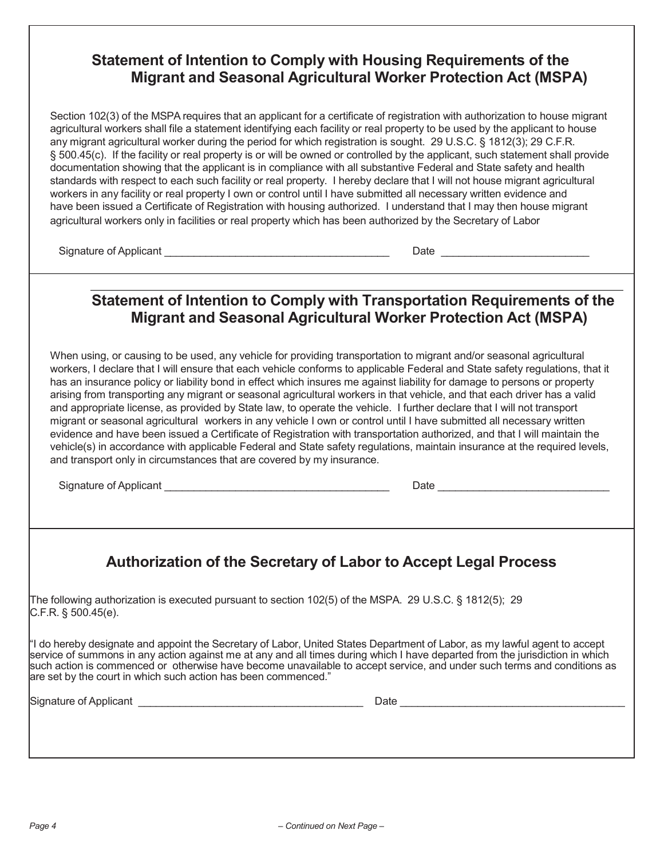### **Statement of Intention to Comply with Housing Requirements of the Migrant and Seasonal Agricultural Worker Protection Act (MSPA)**

Section 102(3) of the MSPA requires that an applicant for a certificate of registration with authorization to house migrant agricultural workers shall file a statement identifying each facility or real property to be used by the applicant to house any migrant agricultural worker during the period for which registration is sought. 29 U.S.C. § 1812(3); 29 C.F.R. § 500.45(c). If the facility or real property is or will be owned or controlled by the applicant, such statement shall provide documentation showing that the applicant is in compliance with all substantive Federal and State safety and health standards with respect to each such facility or real property. I hereby declare that I will not house migrant agricultural workers in any facility or real property I own or control until I have submitted all necessary written evidence and have been issued a Certificate of Registration with housing authorized. I understand that I may then house migrant agricultural workers only in facilities or real property which has been authorized by the Secretary of Labor

Signature of Applicant \_\_\_\_\_\_\_\_\_\_\_\_\_\_\_\_\_\_\_\_\_\_\_\_\_\_\_\_\_\_\_\_\_\_\_\_\_\_ Date \_\_\_\_\_\_\_\_\_\_\_\_\_\_\_\_\_\_\_\_\_\_\_\_\_

# **Statement of Intention to Comply with Transportation Requirements of the Migrant and Seasonal Agricultural Worker Protection Act (MSPA)**

When using, or causing to be used, any vehicle for providing transportation to migrant and/or seasonal agricultural workers, I declare that I will ensure that each vehicle conforms to applicable Federal and State safety regulations, that it has an insurance policy or liability bond in effect which insures me against liability for damage to persons or property arising from transporting any migrant or seasonal agricultural workers in that vehicle, and that each driver has a valid and appropriate license, as provided by State law, to operate the vehicle. I further declare that I will not transport migrant or seasonal agricultural workers in any vehicle I own or control until I have submitted all necessary written evidence and have been issued a Certificate of Registration with transportation authorized, and that I will maintain the vehicle(s) in accordance with applicable Federal and State safety regulations, maintain insurance at the required levels, and transport only in circumstances that are covered by my insurance.

Signature of Applicant \_\_\_\_\_\_\_\_\_\_\_\_\_\_\_\_\_\_\_\_\_\_\_\_\_\_\_\_\_\_\_\_\_\_\_\_\_\_ Date \_\_\_\_\_\_\_\_\_\_\_\_\_\_\_\_\_\_\_\_\_\_\_\_\_\_\_\_\_

# **Authorization of the Secretary of Labor to Accept Legal Process**

The following authorization is executed pursuant to section 102(5) of the MSPA. 29 U.S.C. § 1812(5); 29 C.F.R. § 500.45(e).

"I do hereby designate and appoint the Secretary of Labor, United States Department of Labor, as my lawful agent to accept service of summons in any action against me at any and all times during which I have departed from the jurisdiction in which such action is commenced or otherwise have become unavailable to accept service, and under such terms and conditions as are set by the court in which such action has been commenced."

Signature of Applicant \_\_\_\_\_\_\_\_\_\_\_\_\_\_\_\_\_\_\_\_\_\_\_\_\_\_\_\_\_\_\_\_\_\_\_\_\_\_ Date \_\_\_\_\_\_\_\_\_\_\_\_\_\_\_\_\_\_\_\_\_\_\_\_\_\_\_\_\_\_\_\_\_\_\_\_\_\_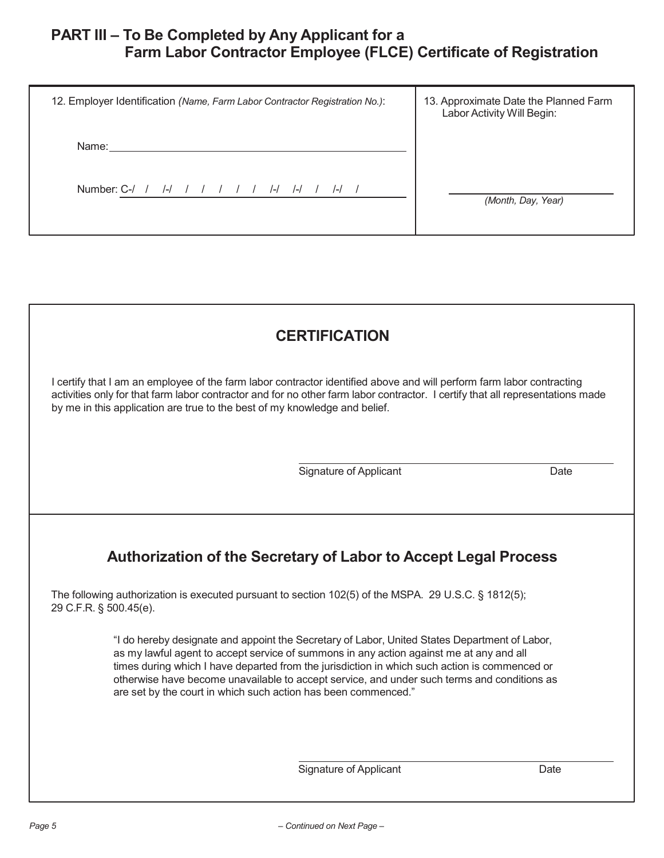# **PART III – To Be Completed by Any Applicant for a Farm Labor Contractor Employee (FLCE) Certificate of Registration**

| 12. Employer Identification (Name, Farm Labor Contractor Registration No.): | 13. Approximate Date the Planned Farm<br>Labor Activity Will Begin: |
|-----------------------------------------------------------------------------|---------------------------------------------------------------------|
| Name:                                                                       |                                                                     |
| Number: C-/<br>$\frac{1}{2}$<br>$\left  - \right $<br>$\left  - \right $    | (Month, Day, Year)                                                  |

# **CERTIFICATION**

I certify that I am an employee of the farm labor contractor identified above and will perform farm labor contracting activities only for that farm labor contractor and for no other farm labor contractor. I certify that all representations made by me in this application are true to the best of my knowledge and belief.

Signature of Applicant Date Date

# **Authorization of the Secretary of Labor to Accept Legal Process**

The following authorization is executed pursuant to section 102(5) of the MSPA. 29 U.S.C. § 1812(5); 29 C.F.R. § 500.45(e).

> "I do hereby designate and appoint the Secretary of Labor, United States Department of Labor, as my lawful agent to accept service of summons in any action against me at any and all times during which I have departed from the jurisdiction in which such action is commenced or otherwise have become unavailable to accept service, and under such terms and conditions as are set by the court in which such action has been commenced."

> > Signature of Applicant **Date**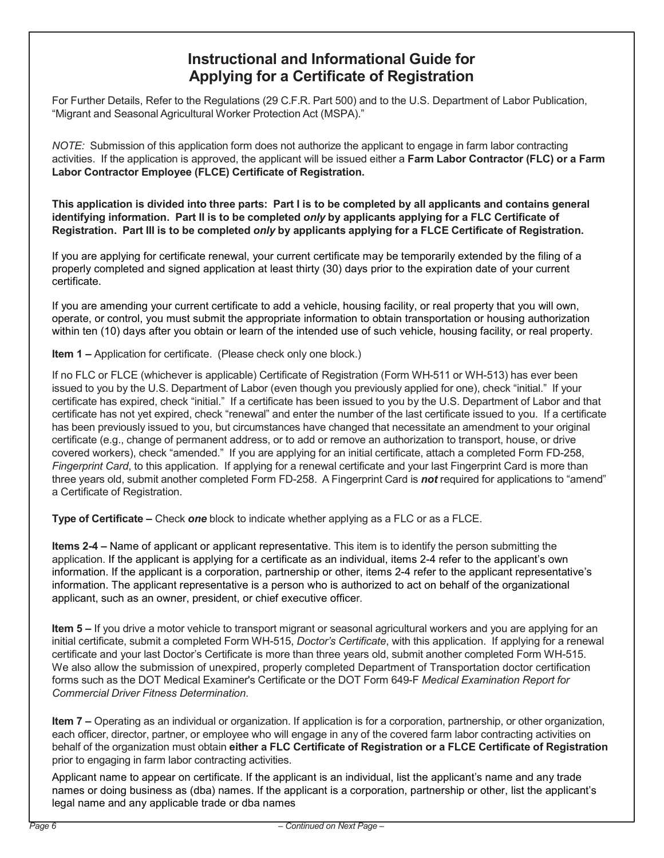## **Instructional and Informational Guide for Applying for a Certificate of Registration**

For Further Details, Refer to the Regulations (29 C.F.R. Part 500) and to the U.S. Department of Labor Publication, "Migrant and Seasonal Agricultural Worker Protection Act (MSPA)."

*NOTE:* Submission of this application form does not authorize the applicant to engage in farm labor contracting activities. If the application is approved, the applicant will be issued either a **Farm Labor Contractor (FLC) or a Farm Labor Contractor Employee (FLCE) Certificate of Registration.**

This application is divided into three parts: Part I is to be completed by all applicants and contains general **identifying information. Part II is to be completed** *only* **by applicants applying for a FLC Certificate of Registration. Part III is to be completed** *only* **by applicants applying for a FLCE Certificate of Registration.**

If you are applying for certificate renewal, your current certificate may be temporarily extended by the filing of a properly completed and signed application at least thirty (30) days prior to the expiration date of your current certificate.

If you are amending your current certificate to add a vehicle, housing facility, or real property that you will own, operate, or control, you must submit the appropriate information to obtain transportation or housing authorization within ten (10) days after you obtain or learn of the intended use of such vehicle, housing facility, or real property.

**Item 1 –** Application for certificate. (Please check only one block.)

If no FLC or FLCE (whichever is applicable) Certificate of Registration (Form WH-511 or WH-513) has ever been issued to you by the U.S. Department of Labor (even though you previously applied for one), check "initial." If your certificate has expired, check "initial." If a certificate has been issued to you by the U.S. Department of Labor and that certificate has not yet expired, check "renewal" and enter the number of the last certificate issued to you. If a certificate has been previously issued to you, but circumstances have changed that necessitate an amendment to your original certificate (e.g., change of permanent address, or to add or remove an authorization to transport, house, or drive covered workers), check "amended." If you are applying for an initial certificate, attach a completed Form FD-258, *Fingerprint Card*, to this application. If applying for a renewal certificate and your last Fingerprint Card is more than three years old, submit another completed Form FD-258. A Fingerprint Card is *not* required for applications to "amend" a Certificate of Registration.

**Type of Certificate –** Check *one* block to indicate whether applying as a FLC or as a FLCE.

**Items 2-4 –** Name of applicant or applicant representative. This item is to identify the person submitting the application. If the applicant is applying for a certificate as an individual, items 2-4 refer to the applicant's own information. If the applicant is a corporation, partnership or other, items 2-4 refer to the applicant representative's information. The applicant representative is a person who is authorized to act on behalf of the organizational applicant, such as an owner, president, or chief executive officer.

**Item 5 –** If you drive a motor vehicle to transport migrant or seasonal agricultural workers and you are applying for an initial certificate, submit a completed Form WH-515, *Doctor's Certificate*, with this application. If applying for a renewal certificate and your last Doctor's Certificate is more than three years old, submit another completed Form WH-515. We also allow the submission of unexpired, properly completed Department of Transportation doctor certification forms such as the DOT Medical Examiner's Certificate or the DOT Form 649-F *Medical Examination Report for Commercial Driver Fitness Determination*.

**Item 7 –** Operating as an individual or organization. If application is for a corporation, partnership, or other organization, each officer, director, partner, or employee who will engage in any of the covered farm labor contracting activities on behalf of the organization must obtain **either a FLC Certificate of Registration or a FLCE Certificate of Registration** prior to engaging in farm labor contracting activities.

Applicant name to appear on certificate. If the applicant is an individual, list the applicant's name and any trade names or doing business as (dba) names. If the applicant is a corporation, partnership or other, list the applicant's legal name and any applicable trade or dba names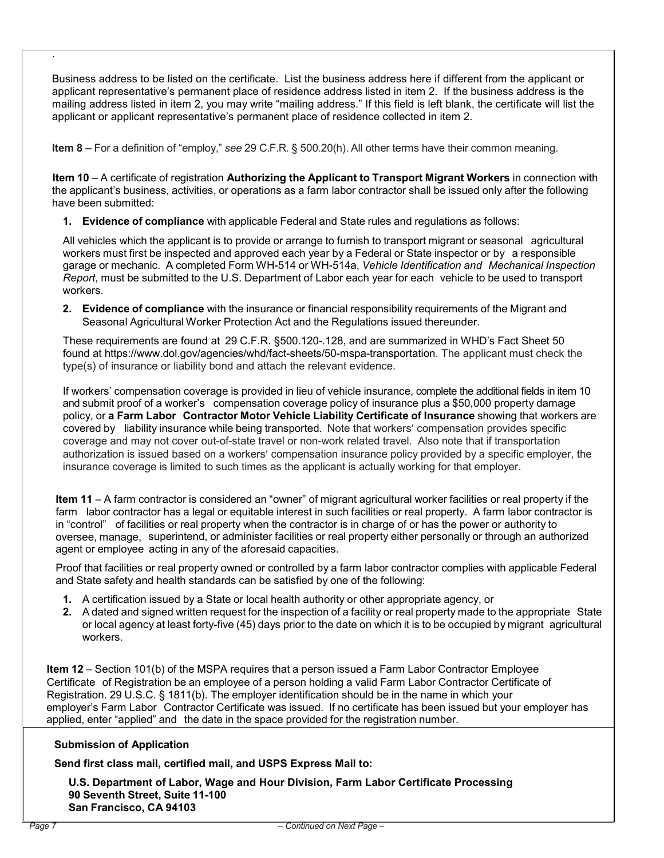Business address to be listed on the certificate. List the business address here if different from the applicant or applicant representative's permanent place of residence address listed in item 2. If the business address is the mailing address listed in item 2, you may write "mailing address." If this field is left blank, the certificate will list the applicant or applicant representative's permanent place of residence collected in item 2.

**Item 8 –** For a definition of "employ," *see* 29 C.F.R. § 500.20(h). All other terms have their common meaning.

**Item 10** – A certificate of registration **Authorizing the Applicant to Transport Migrant Workers** in connection with the applicant's business, activities, or operations as a farm labor contractor shall be issued only after the following have been submitted:

**1. Evidence of compliance** with applicable Federal and State rules and regulations as follows:

All vehicles which the applicant is to provide or arrange to furnish to transport migrant or seasonal agricultural workers must first be inspected and approved each year by a Federal or State inspector or by a responsible garage or mechanic. A completed Form WH-514 or WH-514a, *Vehicle Identification and Mechanical Inspection Report*, must be submitted to the U.S. Department of Labor each year for each vehicle to be used to transport workers.

**2. Evidence of compliance** with the insurance or financial responsibility requirements of the Migrant and Seasonal Agricultural Worker Protection Act and the Regulations issued thereunder.

These requirements are found at 29 C.F.R. §500.120-.128, and are summarized in WHD's Fact Sheet 50 found at https://www.dol.gov/agencies/whd/fact-sheets/50-mspa-transportation. The applicant must check the type(s) of insurance or liability bond and attach the relevant evidence.

If workers' compensation coverage is provided in lieu of vehicle insurance, complete the additional fields in item 10 and submit proof of a worker's compensation coverage policy of insurance plus a \$50,000 property damage policy, or **a Farm Labor Contractor Motor Vehicle Liability Certificate of Insurance** showing that workers are covered by liability insurance while being transported. Note that workers' compensation provides specific coverage and may not cover out-of-state travel or non-work related travel. Also note that if transportation authorization is issued based on a workers' compensation insurance policy provided by a specific employer, the insurance coverage is limited to such times as the applicant is actually working for that employer.

**Item 11** – A farm contractor is considered an "owner" of migrant agricultural worker facilities or real property if the farm labor contractor has a legal or equitable interest in such facilities or real property. A farm labor contractor is in "control" of facilities or real property when the contractor is in charge of or has the power or authority to oversee, manage, superintend, or administer facilities or real property either personally or through an authorized agent or employee acting in any of the aforesaid capacities.

Proof that facilities or real property owned or controlled by a farm labor contractor complies with applicable Federal and State safety and health standards can be satisfied by one of the following:

- **1.** A certification issued by a State or local health authority or other appropriate agency, or
- **2.** A dated and signed written request for the inspection of a facility or real property made to the appropriate State or local agency at least forty-five (45) days prior to the date on which it is to be occupied by migrant agricultural workers.

**Item 12** – Section 101(b) of the MSPA requires that a person issued a Farm Labor Contractor Employee Certificate of Registration be an employee of a person holding a valid Farm Labor Contractor Certificate of Registration. 29 U.S.C. § 1811(b). The employer identification should be in the name in which your employer's Farm Labor Contractor Certificate was issued. If no certificate has been issued but your employer has applied, enter "applied" and the date in the space provided for the registration number.

#### **Submission of Application**

**Send first class mail, certified mail, and USPS Express Mail to:** 

 **U.S. Department of Labor, Wage and Hour Division, Farm Labor Certificate Processing 90 Seventh Street, Suite 11-100 San Francisco, CA 94103**

.